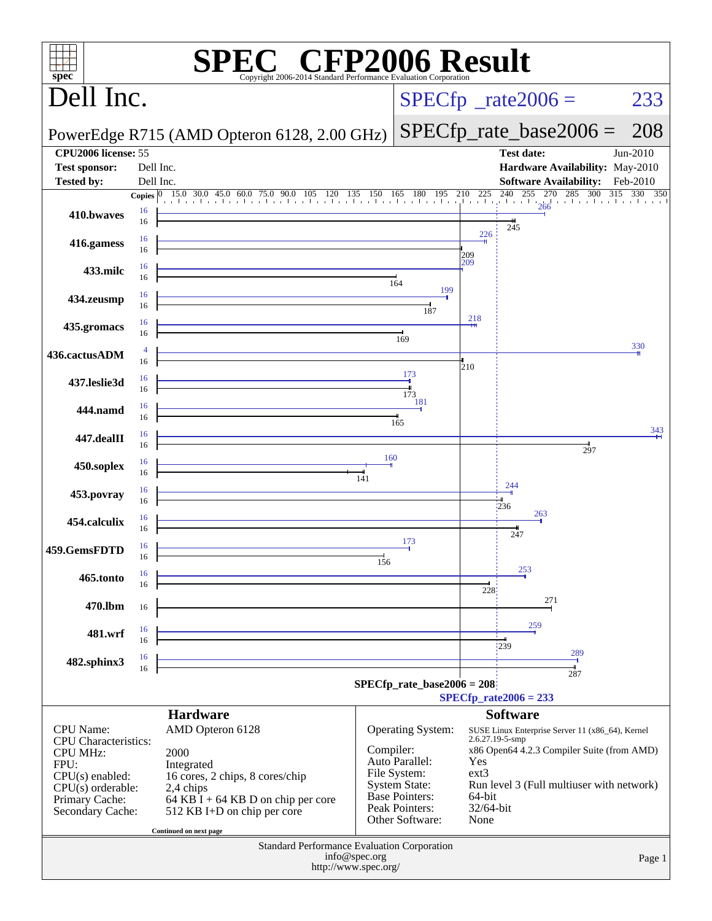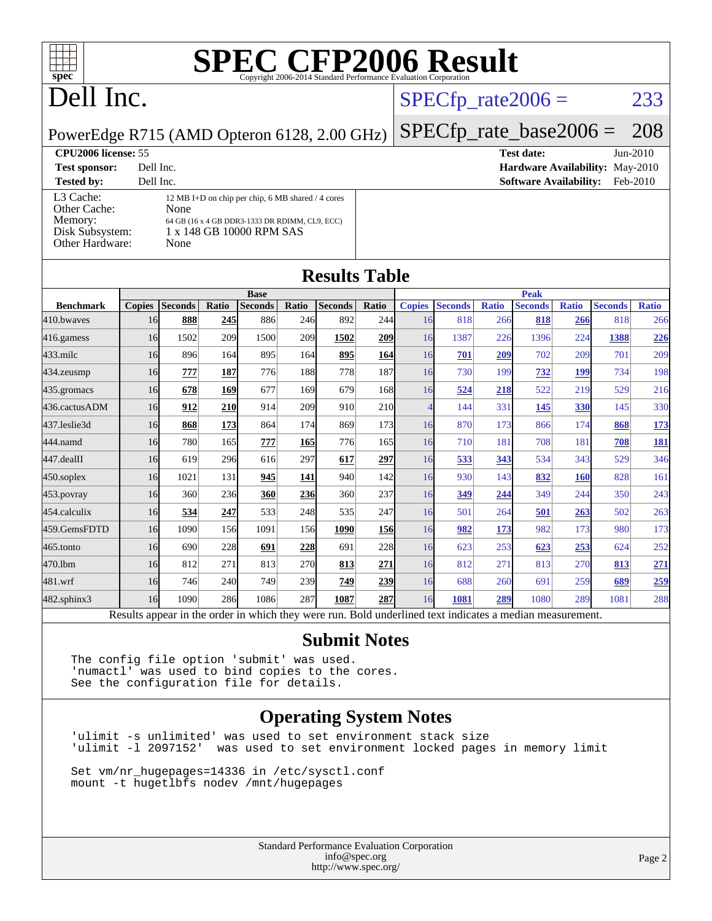

# Dell Inc.

## $SPECTp_rate2006 = 233$

PowerEdge R715 (AMD Opteron 6128, 2.00 GHz)

**[Test sponsor:](http://www.spec.org/auto/cpu2006/Docs/result-fields.html#Testsponsor)** Dell Inc. **[Hardware Availability:](http://www.spec.org/auto/cpu2006/Docs/result-fields.html#HardwareAvailability)** May-2010 **[Tested by:](http://www.spec.org/auto/cpu2006/Docs/result-fields.html#Testedby)** Dell Inc. **[Software Availability:](http://www.spec.org/auto/cpu2006/Docs/result-fields.html#SoftwareAvailability)** Feb-2010 [L3 Cache:](http://www.spec.org/auto/cpu2006/Docs/result-fields.html#L3Cache) 12 MB I+D on chip per chip, 6 MB shared / 4 cores<br>Other Cache: None [Other Cache:](http://www.spec.org/auto/cpu2006/Docs/result-fields.html#OtherCache) [Memory:](http://www.spec.org/auto/cpu2006/Docs/result-fields.html#Memory) 64 GB (16 x 4 GB DDR3-1333 DR RDIMM, CL9, ECC) [Disk Subsystem:](http://www.spec.org/auto/cpu2006/Docs/result-fields.html#DiskSubsystem) 1 x 148 GB 10000 RPM SAS [Other Hardware:](http://www.spec.org/auto/cpu2006/Docs/result-fields.html#OtherHardware) None

[SPECfp\\_rate\\_base2006 =](http://www.spec.org/auto/cpu2006/Docs/result-fields.html#SPECfpratebase2006) 208

**[CPU2006 license:](http://www.spec.org/auto/cpu2006/Docs/result-fields.html#CPU2006license)** 55 **[Test date:](http://www.spec.org/auto/cpu2006/Docs/result-fields.html#Testdate)** Jun-2010

## **[Results Table](http://www.spec.org/auto/cpu2006/Docs/result-fields.html#ResultsTable)**

|                      |               |                                                                                                          |            | <b>Base</b>    |       |                |            |               |                |              | <b>Peak</b>    |              |                |              |
|----------------------|---------------|----------------------------------------------------------------------------------------------------------|------------|----------------|-------|----------------|------------|---------------|----------------|--------------|----------------|--------------|----------------|--------------|
| <b>Benchmark</b>     | <b>Copies</b> | <b>Seconds</b>                                                                                           | Ratio      | <b>Seconds</b> | Ratio | <b>Seconds</b> | Ratio      | <b>Copies</b> | <b>Seconds</b> | <b>Ratio</b> | <b>Seconds</b> | <b>Ratio</b> | <b>Seconds</b> | <b>Ratio</b> |
| 410.bwayes           | 16            | 888                                                                                                      | 245        | 886            | 246   | 892            | 244        | 16            | 818            | 266          | 818            | 266          | 818            | 266          |
| 416.gamess           | 16            | 1502                                                                                                     | 209        | 1500           | 209   | 1502           | <b>209</b> | 16            | 1387           | 226          | 1396           | 224          | 1388           | 226          |
| $433$ .milc          | 16            | 896                                                                                                      | 164        | 895            | 164   | 895            | 164        | 16            | 701            | 209          | 702            | 209          | 701            | 209          |
| 434.zeusmp           | 16            | 777                                                                                                      | 187        | 776            | 188   | 778            | 187        | 16            | 730            | 199          | 732            | 199          | 734            | 198          |
| 435.gromacs          | 16            | 678                                                                                                      | 169        | 677            | 169   | 679            | 168        | 16            | 524            | 218          | 522            | 219          | 529            | 216          |
| 436.cactusADM        | 16            | 912                                                                                                      | <b>210</b> | 914            | 209   | 910            | <b>210</b> | 4             | 144            | 331          | 145            | 330          | 145            | 330          |
| 437.leslie3d         | 16            | 868                                                                                                      | 173        | 864            | 174   | 869            | 173        | 16            | 870            | 173          | 866            | 174          | 868            | 173          |
| 444.namd             | 16            | 780                                                                                                      | 165        | 777            | 165   | 776            | 165        | 16            | 710            | 181          | 708            | 181          | 708            | 181          |
| $ 447.\text{dealII}$ | 16            | 619                                                                                                      | 296        | 616            | 297   | 617            | 297        | 16            | 533            | 343          | 534            | 343          | 529            | 346          |
| $450$ .soplex        | 16            | 1021                                                                                                     | 131        | 945            | 141   | 940            | 142        | 16            | 930            | 143          | 832            | <b>160</b>   | 828            | 161          |
| $453$ . povray       | 16            | 360                                                                                                      | 236        | 360            | 236   | 360            | 237        | 16            | <u>349</u>     | 244          | 349            | 244          | 350            | 243          |
| 454.calculix         | 16            | 534                                                                                                      | 247        | 533            | 248   | 535            | 247        | 16            | 501            | 264          | 501            | 263          | 502            | 263          |
| 459.GemsFDTD         | 16            | 1090                                                                                                     | 156        | 1091           | 156   | 1090           | <b>156</b> | 16            | 982            | 173          | 982            | 173          | 980            | 173          |
| 465.tonto            | 16            | 690                                                                                                      | 228        | 691            | 228   | 691            | 228        | 16            | 623            | 253          | 623            | 253          | 624            | 252          |
| 470.1bm              | 16            | 812                                                                                                      | 271        | 813            | 270   | 813            | 271        | 16            | 812            | 271          | 813            | 270          | 813            | 271          |
| 481.wrf              | 16            | 746                                                                                                      | 240        | 749            | 239   | 749            | 239        | 16            | 688            | 260          | 691            | 259          | 689            | 259          |
| 482.sphinx3          | 16            | 1090                                                                                                     | 286        | 1086           | 287   | 1087           | 287        | 16            | 1081           | 289          | 1080           | 289          | 1081           | 288          |
|                      |               | Results appear in the order in which they were run. Bold underlined text indicates a median measurement. |            |                |       |                |            |               |                |              |                |              |                |              |

### **[Submit Notes](http://www.spec.org/auto/cpu2006/Docs/result-fields.html#SubmitNotes)**

The config file option 'submit' was used. 'numactl' was used to bind copies to the cores. See the configuration file for details.

## **[Operating System Notes](http://www.spec.org/auto/cpu2006/Docs/result-fields.html#OperatingSystemNotes)**

'ulimit -s unlimited' was used to set environment stack size was used to set environment locked pages in memory limit

Set vm/nr\_hugepages=14336 in /etc/sysctl.conf mount -t hugetlbfs nodev /mnt/hugepages

> Standard Performance Evaluation Corporation [info@spec.org](mailto:info@spec.org) <http://www.spec.org/>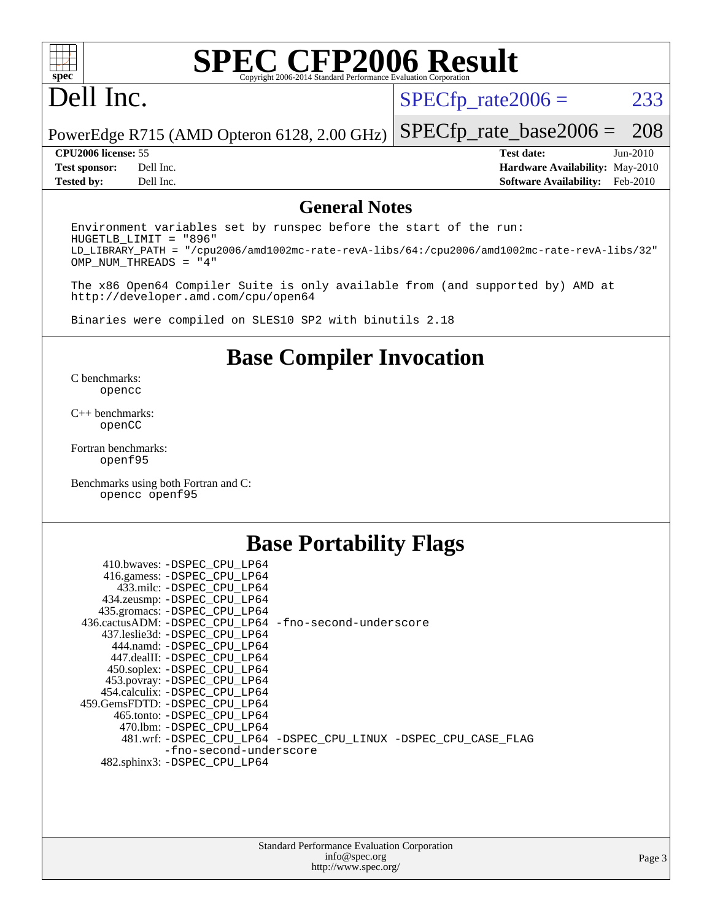

# Dell Inc.

 $SPECTp_rate2006 = 233$ 

[SPECfp\\_rate\\_base2006 =](http://www.spec.org/auto/cpu2006/Docs/result-fields.html#SPECfpratebase2006) 208

PowerEdge R715 (AMD Opteron 6128, 2.00 GHz)

**[Tested by:](http://www.spec.org/auto/cpu2006/Docs/result-fields.html#Testedby)** Dell Inc. **[Software Availability:](http://www.spec.org/auto/cpu2006/Docs/result-fields.html#SoftwareAvailability)** Feb-2010

**[CPU2006 license:](http://www.spec.org/auto/cpu2006/Docs/result-fields.html#CPU2006license)** 55 **[Test date:](http://www.spec.org/auto/cpu2006/Docs/result-fields.html#Testdate)** Jun-2010 **[Test sponsor:](http://www.spec.org/auto/cpu2006/Docs/result-fields.html#Testsponsor)** Dell Inc. **[Hardware Availability:](http://www.spec.org/auto/cpu2006/Docs/result-fields.html#HardwareAvailability)** May-2010

### **[General Notes](http://www.spec.org/auto/cpu2006/Docs/result-fields.html#GeneralNotes)**

Environment variables set by runspec before the start of the run: HUGETLB\_LIMIT = "896" LD\_LIBRARY\_PATH = "/cpu2006/amd1002mc-rate-revA-libs/64:/cpu2006/amd1002mc-rate-revA-libs/32" OMP\_NUM\_THREADS = "4"

The x86 Open64 Compiler Suite is only available from (and supported by) AMD at <http://developer.amd.com/cpu/open64>

Binaries were compiled on SLES10 SP2 with binutils 2.18

## **[Base Compiler Invocation](http://www.spec.org/auto/cpu2006/Docs/result-fields.html#BaseCompilerInvocation)**

[C benchmarks](http://www.spec.org/auto/cpu2006/Docs/result-fields.html#Cbenchmarks): [opencc](http://www.spec.org/cpu2006/results/res2010q3/cpu2006-20100705-12202.flags.html#user_CCbase_Fopencc)

[C++ benchmarks:](http://www.spec.org/auto/cpu2006/Docs/result-fields.html#CXXbenchmarks) [openCC](http://www.spec.org/cpu2006/results/res2010q3/cpu2006-20100705-12202.flags.html#user_CXXbase_FopenCC)

[Fortran benchmarks](http://www.spec.org/auto/cpu2006/Docs/result-fields.html#Fortranbenchmarks): [openf95](http://www.spec.org/cpu2006/results/res2010q3/cpu2006-20100705-12202.flags.html#user_FCbase_Fopenf95)

[Benchmarks using both Fortran and C](http://www.spec.org/auto/cpu2006/Docs/result-fields.html#BenchmarksusingbothFortranandC): [opencc](http://www.spec.org/cpu2006/results/res2010q3/cpu2006-20100705-12202.flags.html#user_CC_FCbase_Fopencc) [openf95](http://www.spec.org/cpu2006/results/res2010q3/cpu2006-20100705-12202.flags.html#user_CC_FCbase_Fopenf95)

## **[Base Portability Flags](http://www.spec.org/auto/cpu2006/Docs/result-fields.html#BasePortabilityFlags)**

| 410.bwaves: -DSPEC CPU LP64                           |                                                                |
|-------------------------------------------------------|----------------------------------------------------------------|
| 416.gamess: -DSPEC_CPU_LP64                           |                                                                |
| 433.milc: -DSPEC CPU LP64                             |                                                                |
| 434.zeusmp: -DSPEC_CPU_LP64                           |                                                                |
| 435.gromacs: -DSPEC_CPU_LP64                          |                                                                |
| 436.cactusADM: -DSPEC CPU LP64 -fno-second-underscore |                                                                |
| 437.leslie3d: -DSPEC CPU LP64                         |                                                                |
| 444.namd: -DSPEC CPU LP64                             |                                                                |
| 447.dealII: -DSPEC CPU LP64                           |                                                                |
| 450.soplex: -DSPEC_CPU_LP64                           |                                                                |
| 453.povray: -DSPEC_CPU_LP64                           |                                                                |
| 454.calculix: -DSPEC CPU LP64                         |                                                                |
| 459. GemsFDTD: - DSPEC CPU LP64                       |                                                                |
| 465.tonto: - DSPEC CPU LP64                           |                                                                |
| 470.1bm: - DSPEC CPU LP64                             |                                                                |
|                                                       | 481.wrf: -DSPEC_CPU_LP64 -DSPEC_CPU_LINUX -DSPEC_CPU_CASE_FLAG |
| -fno-second-underscore                                |                                                                |
| 482.sphinx3: -DSPEC CPU LP64                          |                                                                |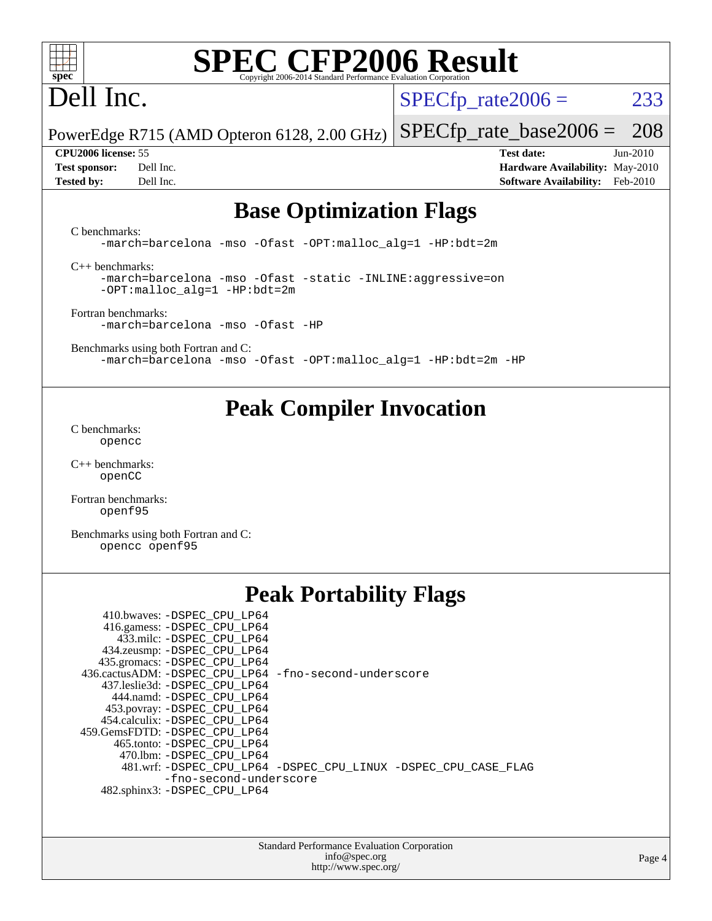

# Dell Inc.

 $SPECTp_rate2006 = 233$ 

PowerEdge R715 (AMD Opteron 6128, 2.00 GHz) [SPECfp\\_rate\\_base2006 =](http://www.spec.org/auto/cpu2006/Docs/result-fields.html#SPECfpratebase2006) 208

**[CPU2006 license:](http://www.spec.org/auto/cpu2006/Docs/result-fields.html#CPU2006license)** 55 **[Test date:](http://www.spec.org/auto/cpu2006/Docs/result-fields.html#Testdate)** Jun-2010 **[Test sponsor:](http://www.spec.org/auto/cpu2006/Docs/result-fields.html#Testsponsor)** Dell Inc. **[Hardware Availability:](http://www.spec.org/auto/cpu2006/Docs/result-fields.html#HardwareAvailability)** May-2010 **[Tested by:](http://www.spec.org/auto/cpu2006/Docs/result-fields.html#Testedby)** Dell Inc. **[Software Availability:](http://www.spec.org/auto/cpu2006/Docs/result-fields.html#SoftwareAvailability)** Feb-2010

# **[Base Optimization Flags](http://www.spec.org/auto/cpu2006/Docs/result-fields.html#BaseOptimizationFlags)**

[C benchmarks](http://www.spec.org/auto/cpu2006/Docs/result-fields.html#Cbenchmarks):

[-march=barcelona](http://www.spec.org/cpu2006/results/res2010q3/cpu2006-20100705-12202.flags.html#user_CCbase_F-march_8ea39521cada96f307a04d0b8b9c6ffb) [-mso](http://www.spec.org/cpu2006/results/res2010q3/cpu2006-20100705-12202.flags.html#user_CCbase_F-mso) [-Ofast](http://www.spec.org/cpu2006/results/res2010q3/cpu2006-20100705-12202.flags.html#user_CCbase_F-Ofast) [-OPT:malloc\\_alg=1](http://www.spec.org/cpu2006/results/res2010q3/cpu2006-20100705-12202.flags.html#user_CCbase_F-OPT:malloc_algorithm_58733815edefaa612c2ed769b716daa0) [-HP:bdt=2m](http://www.spec.org/cpu2006/results/res2010q3/cpu2006-20100705-12202.flags.html#user_CCbase_F-HUGEPAGE_99eaea9f74400395f9f16774d1aed5d7)

[C++ benchmarks:](http://www.spec.org/auto/cpu2006/Docs/result-fields.html#CXXbenchmarks)

[-march=barcelona](http://www.spec.org/cpu2006/results/res2010q3/cpu2006-20100705-12202.flags.html#user_CXXbase_F-march_8ea39521cada96f307a04d0b8b9c6ffb) [-mso](http://www.spec.org/cpu2006/results/res2010q3/cpu2006-20100705-12202.flags.html#user_CXXbase_F-mso) [-Ofast](http://www.spec.org/cpu2006/results/res2010q3/cpu2006-20100705-12202.flags.html#user_CXXbase_F-Ofast) [-static](http://www.spec.org/cpu2006/results/res2010q3/cpu2006-20100705-12202.flags.html#user_CXXbase_F-static) [-INLINE:aggressive=on](http://www.spec.org/cpu2006/results/res2010q3/cpu2006-20100705-12202.flags.html#user_CXXbase_F-INLINE:aggressive_e14807c0a1e56a6a83cb25ab07c7ae8a) [-OPT:malloc\\_alg=1](http://www.spec.org/cpu2006/results/res2010q3/cpu2006-20100705-12202.flags.html#user_CXXbase_F-OPT:malloc_algorithm_58733815edefaa612c2ed769b716daa0) [-HP:bdt=2m](http://www.spec.org/cpu2006/results/res2010q3/cpu2006-20100705-12202.flags.html#user_CXXbase_F-HUGEPAGE_99eaea9f74400395f9f16774d1aed5d7)

[Fortran benchmarks](http://www.spec.org/auto/cpu2006/Docs/result-fields.html#Fortranbenchmarks): [-march=barcelona](http://www.spec.org/cpu2006/results/res2010q3/cpu2006-20100705-12202.flags.html#user_FCbase_F-march_8ea39521cada96f307a04d0b8b9c6ffb) [-mso](http://www.spec.org/cpu2006/results/res2010q3/cpu2006-20100705-12202.flags.html#user_FCbase_F-mso) [-Ofast](http://www.spec.org/cpu2006/results/res2010q3/cpu2006-20100705-12202.flags.html#user_FCbase_F-Ofast) [-HP](http://www.spec.org/cpu2006/results/res2010q3/cpu2006-20100705-12202.flags.html#user_FCbase_F-HUGEPAGE_5df7ddc958063186306345596c5e7dc3)

[Benchmarks using both Fortran and C](http://www.spec.org/auto/cpu2006/Docs/result-fields.html#BenchmarksusingbothFortranandC): [-march=barcelona](http://www.spec.org/cpu2006/results/res2010q3/cpu2006-20100705-12202.flags.html#user_CC_FCbase_F-march_8ea39521cada96f307a04d0b8b9c6ffb) [-mso](http://www.spec.org/cpu2006/results/res2010q3/cpu2006-20100705-12202.flags.html#user_CC_FCbase_F-mso) [-Ofast](http://www.spec.org/cpu2006/results/res2010q3/cpu2006-20100705-12202.flags.html#user_CC_FCbase_F-Ofast) [-OPT:malloc\\_alg=1](http://www.spec.org/cpu2006/results/res2010q3/cpu2006-20100705-12202.flags.html#user_CC_FCbase_F-OPT:malloc_algorithm_58733815edefaa612c2ed769b716daa0) [-HP:bdt=2m](http://www.spec.org/cpu2006/results/res2010q3/cpu2006-20100705-12202.flags.html#user_CC_FCbase_F-HUGEPAGE_99eaea9f74400395f9f16774d1aed5d7) [-HP](http://www.spec.org/cpu2006/results/res2010q3/cpu2006-20100705-12202.flags.html#user_CC_FCbase_F-HUGEPAGE_5df7ddc958063186306345596c5e7dc3)

# **[Peak Compiler Invocation](http://www.spec.org/auto/cpu2006/Docs/result-fields.html#PeakCompilerInvocation)**

[C benchmarks](http://www.spec.org/auto/cpu2006/Docs/result-fields.html#Cbenchmarks): [opencc](http://www.spec.org/cpu2006/results/res2010q3/cpu2006-20100705-12202.flags.html#user_CCpeak_Fopencc)

[C++ benchmarks:](http://www.spec.org/auto/cpu2006/Docs/result-fields.html#CXXbenchmarks) [openCC](http://www.spec.org/cpu2006/results/res2010q3/cpu2006-20100705-12202.flags.html#user_CXXpeak_FopenCC)

[Fortran benchmarks](http://www.spec.org/auto/cpu2006/Docs/result-fields.html#Fortranbenchmarks): [openf95](http://www.spec.org/cpu2006/results/res2010q3/cpu2006-20100705-12202.flags.html#user_FCpeak_Fopenf95)

[Benchmarks using both Fortran and C](http://www.spec.org/auto/cpu2006/Docs/result-fields.html#BenchmarksusingbothFortranandC): [opencc](http://www.spec.org/cpu2006/results/res2010q3/cpu2006-20100705-12202.flags.html#user_CC_FCpeak_Fopencc) [openf95](http://www.spec.org/cpu2006/results/res2010q3/cpu2006-20100705-12202.flags.html#user_CC_FCpeak_Fopenf95)

# **[Peak Portability Flags](http://www.spec.org/auto/cpu2006/Docs/result-fields.html#PeakPortabilityFlags)**

| 410.bwaves: -DSPEC CPU LP64                           |                                                                |
|-------------------------------------------------------|----------------------------------------------------------------|
| 416.gamess: -DSPEC_CPU_LP64                           |                                                                |
| 433.milc: -DSPEC CPU LP64                             |                                                                |
| 434.zeusmp: -DSPEC_CPU_LP64                           |                                                                |
| 435.gromacs: -DSPEC_CPU_LP64                          |                                                                |
| 436.cactusADM: -DSPEC CPU LP64 -fno-second-underscore |                                                                |
| 437.leslie3d: -DSPEC CPU LP64                         |                                                                |
| 444.namd: -DSPEC CPU LP64                             |                                                                |
| 453.povray: -DSPEC_CPU_LP64                           |                                                                |
| 454.calculix: - DSPEC CPU LP64                        |                                                                |
| 459.GemsFDTD: -DSPEC CPU LP64                         |                                                                |
| 465.tonto: - DSPEC CPU LP64                           |                                                                |
| 470.1bm: - DSPEC CPU LP64                             |                                                                |
|                                                       | 481.wrf: -DSPEC_CPU_LP64 -DSPEC_CPU_LINUX -DSPEC_CPU_CASE_FLAG |
| -fno-second-underscore                                |                                                                |
| 482.sphinx3: -DSPEC CPU LP64                          |                                                                |
|                                                       |                                                                |

Standard Performance Evaluation Corporation [info@spec.org](mailto:info@spec.org) <http://www.spec.org/>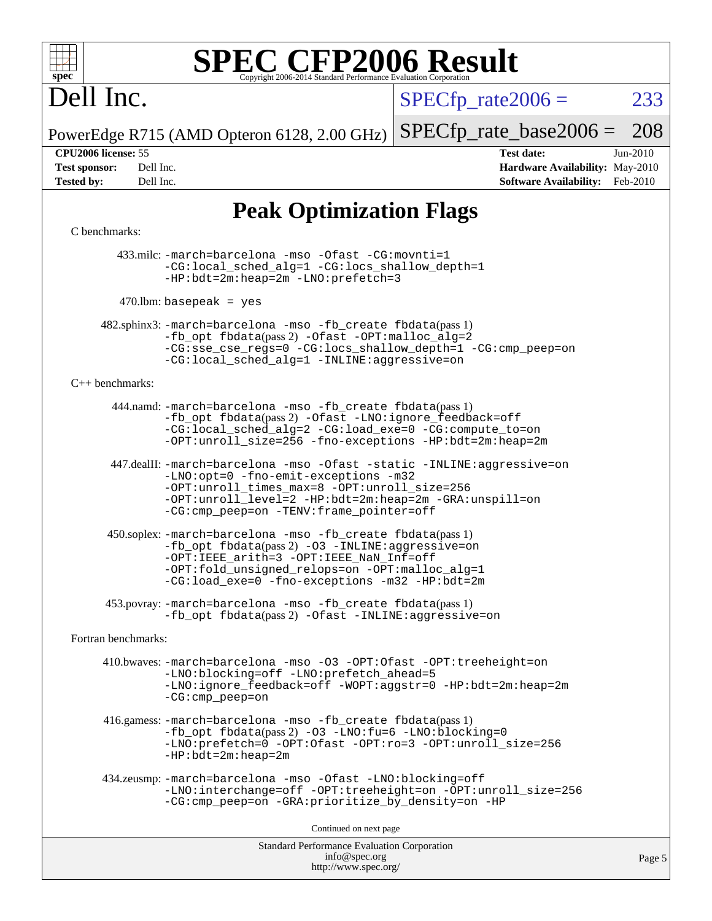

# Dell Inc.

 $SPECTp\_rate2006 = 233$ 

[SPECfp\\_rate\\_base2006 =](http://www.spec.org/auto/cpu2006/Docs/result-fields.html#SPECfpratebase2006) 208

PowerEdge R715 (AMD Opteron 6128, 2.00 GHz)

**[Tested by:](http://www.spec.org/auto/cpu2006/Docs/result-fields.html#Testedby)** Dell Inc. **[Software Availability:](http://www.spec.org/auto/cpu2006/Docs/result-fields.html#SoftwareAvailability)** Feb-2010

**[CPU2006 license:](http://www.spec.org/auto/cpu2006/Docs/result-fields.html#CPU2006license)** 55 **[Test date:](http://www.spec.org/auto/cpu2006/Docs/result-fields.html#Testdate)** Jun-2010 **[Test sponsor:](http://www.spec.org/auto/cpu2006/Docs/result-fields.html#Testsponsor)** Dell Inc. **[Hardware Availability:](http://www.spec.org/auto/cpu2006/Docs/result-fields.html#HardwareAvailability)** May-2010

# **[Peak Optimization Flags](http://www.spec.org/auto/cpu2006/Docs/result-fields.html#PeakOptimizationFlags)**

### [C benchmarks](http://www.spec.org/auto/cpu2006/Docs/result-fields.html#Cbenchmarks):

 433.milc: [-march=barcelona](http://www.spec.org/cpu2006/results/res2010q3/cpu2006-20100705-12202.flags.html#user_peakCCLD433_milc_F-march_8ea39521cada96f307a04d0b8b9c6ffb) [-mso](http://www.spec.org/cpu2006/results/res2010q3/cpu2006-20100705-12202.flags.html#user_peakCCLD433_milc_F-mso) [-Ofast](http://www.spec.org/cpu2006/results/res2010q3/cpu2006-20100705-12202.flags.html#user_peakCOPTIMIZE433_milc_F-Ofast) [-CG:movnti=1](http://www.spec.org/cpu2006/results/res2010q3/cpu2006-20100705-12202.flags.html#user_peakCOPTIMIZE433_milc_F-CG:movnti_c5191dc1f6da57382570e339f0143b6b) [-CG:local\\_sched\\_alg=1](http://www.spec.org/cpu2006/results/res2010q3/cpu2006-20100705-12202.flags.html#user_peakCOPTIMIZE433_milc_F-CG:local_sched_alg_2175ca61f1a2717f1ec57b14995b9e7a) [-CG:locs\\_shallow\\_depth=1](http://www.spec.org/cpu2006/results/res2010q3/cpu2006-20100705-12202.flags.html#user_peakCOPTIMIZE433_milc_F-CG:locs_shallow_depth_ec0a53d3def1c53dcd5985fc16cc23f2) [-HP:bdt=2m:heap=2m](http://www.spec.org/cpu2006/results/res2010q3/cpu2006-20100705-12202.flags.html#user_peakCOPTIMIZE433_milc_F-HUGEPAGE_855e97383b49831f390a2af16fe7202f) [-LNO:prefetch=3](http://www.spec.org/cpu2006/results/res2010q3/cpu2006-20100705-12202.flags.html#user_peakCOPTIMIZE433_milc_F-LNO:prefetch_73b5a9400a8f80d6e23f06aa34f07c5f)

 $470$ .lbm: basepeak = yes

 482.sphinx3: [-march=barcelona](http://www.spec.org/cpu2006/results/res2010q3/cpu2006-20100705-12202.flags.html#user_peakCCLD482_sphinx3_F-march_8ea39521cada96f307a04d0b8b9c6ffb) [-mso](http://www.spec.org/cpu2006/results/res2010q3/cpu2006-20100705-12202.flags.html#user_peakCCLD482_sphinx3_F-mso) [-fb\\_create fbdata](http://www.spec.org/cpu2006/results/res2010q3/cpu2006-20100705-12202.flags.html#user_peakPASS1_CFLAGSPASS1_LDFLAGS482_sphinx3_F-fb_create_filename)(pass 1) [-fb\\_opt fbdata](http://www.spec.org/cpu2006/results/res2010q3/cpu2006-20100705-12202.flags.html#user_peakPASS2_CFLAGSPASS2_LDFLAGS482_sphinx3_F-fb_opt_filename)(pass 2) [-Ofast](http://www.spec.org/cpu2006/results/res2010q3/cpu2006-20100705-12202.flags.html#user_peakCOPTIMIZE482_sphinx3_F-Ofast) [-OPT:malloc\\_alg=2](http://www.spec.org/cpu2006/results/res2010q3/cpu2006-20100705-12202.flags.html#user_peakCOPTIMIZE482_sphinx3_F-OPT:malloc_algorithm_e62903d0840423b2a5cd674766328c33) [-CG:sse\\_cse\\_regs=0](http://www.spec.org/cpu2006/results/res2010q3/cpu2006-20100705-12202.flags.html#user_peakCOPTIMIZE482_sphinx3_F-CG:sse_cse_regs_7df8d7006fcaae90aa34e4c541216ae1) [-CG:locs\\_shallow\\_depth=1](http://www.spec.org/cpu2006/results/res2010q3/cpu2006-20100705-12202.flags.html#user_peakCOPTIMIZE482_sphinx3_F-CG:locs_shallow_depth_ec0a53d3def1c53dcd5985fc16cc23f2) [-CG:cmp\\_peep=on](http://www.spec.org/cpu2006/results/res2010q3/cpu2006-20100705-12202.flags.html#user_peakCOPTIMIZE482_sphinx3_F-CG:cmp_peep_ab90c979e95bee1f1f617a32622424ed) [-CG:local\\_sched\\_alg=1](http://www.spec.org/cpu2006/results/res2010q3/cpu2006-20100705-12202.flags.html#user_peakCOPTIMIZE482_sphinx3_F-CG:local_sched_alg_2175ca61f1a2717f1ec57b14995b9e7a) [-INLINE:aggressive=on](http://www.spec.org/cpu2006/results/res2010q3/cpu2006-20100705-12202.flags.html#user_peakCOPTIMIZE482_sphinx3_F-INLINE:aggressive_e14807c0a1e56a6a83cb25ab07c7ae8a)

### [C++ benchmarks:](http://www.spec.org/auto/cpu2006/Docs/result-fields.html#CXXbenchmarks)

 444.namd: [-march=barcelona](http://www.spec.org/cpu2006/results/res2010q3/cpu2006-20100705-12202.flags.html#user_peakCXXLD444_namd_F-march_8ea39521cada96f307a04d0b8b9c6ffb) [-mso](http://www.spec.org/cpu2006/results/res2010q3/cpu2006-20100705-12202.flags.html#user_peakCXXLD444_namd_F-mso) [-fb\\_create fbdata](http://www.spec.org/cpu2006/results/res2010q3/cpu2006-20100705-12202.flags.html#user_peakPASS1_CXXFLAGSPASS1_LDFLAGS444_namd_F-fb_create_filename)(pass 1) [-fb\\_opt fbdata](http://www.spec.org/cpu2006/results/res2010q3/cpu2006-20100705-12202.flags.html#user_peakPASS2_CXXFLAGSPASS2_LDFLAGS444_namd_F-fb_opt_filename)(pass 2) [-Ofast](http://www.spec.org/cpu2006/results/res2010q3/cpu2006-20100705-12202.flags.html#user_peakCXXOPTIMIZE444_namd_F-Ofast) [-LNO:ignore\\_feedback=off](http://www.spec.org/cpu2006/results/res2010q3/cpu2006-20100705-12202.flags.html#user_peakCXXOPTIMIZE444_namd_F-LNO:ignore_feedback_1d6d06f39185b277a955c10dfd0a9a73) [-CG:local\\_sched\\_alg=2](http://www.spec.org/cpu2006/results/res2010q3/cpu2006-20100705-12202.flags.html#user_peakCXXOPTIMIZE444_namd_F-CG:local_sched_alg_7e9cde87db6e5e7117cdd873e1f958ca) [-CG:load\\_exe=0](http://www.spec.org/cpu2006/results/res2010q3/cpu2006-20100705-12202.flags.html#user_peakCXXOPTIMIZE444_namd_F-CG:load_exe_274d025dc8e91b4834366e9e44cd78e3) [-CG:compute\\_to=on](http://www.spec.org/cpu2006/results/res2010q3/cpu2006-20100705-12202.flags.html#user_peakCXXOPTIMIZE444_namd_F-CG:compute_to_596c30b399a79f0675b006ae34a185eb) [-OPT:unroll\\_size=256](http://www.spec.org/cpu2006/results/res2010q3/cpu2006-20100705-12202.flags.html#user_peakCXXOPTIMIZE444_namd_F-OPT:unroll_size_dfa492f42f50f580c3837c8b22d14f27) [-fno-exceptions](http://www.spec.org/cpu2006/results/res2010q3/cpu2006-20100705-12202.flags.html#user_peakCXXOPTIMIZE444_namd_F-fexceptions) [-HP:bdt=2m:heap=2m](http://www.spec.org/cpu2006/results/res2010q3/cpu2006-20100705-12202.flags.html#user_peakCXXOPTIMIZE444_namd_F-HUGEPAGE_855e97383b49831f390a2af16fe7202f)

 447.dealII: [-march=barcelona](http://www.spec.org/cpu2006/results/res2010q3/cpu2006-20100705-12202.flags.html#user_peakCXXLD447_dealII_F-march_8ea39521cada96f307a04d0b8b9c6ffb) [-mso](http://www.spec.org/cpu2006/results/res2010q3/cpu2006-20100705-12202.flags.html#user_peakCXXLD447_dealII_F-mso) [-Ofast](http://www.spec.org/cpu2006/results/res2010q3/cpu2006-20100705-12202.flags.html#user_peakCXXOPTIMIZE447_dealII_F-Ofast) [-static](http://www.spec.org/cpu2006/results/res2010q3/cpu2006-20100705-12202.flags.html#user_peakCXXOPTIMIZE447_dealII_F-static) [-INLINE:aggressive=on](http://www.spec.org/cpu2006/results/res2010q3/cpu2006-20100705-12202.flags.html#user_peakCXXOPTIMIZE447_dealII_F-INLINE:aggressive_e14807c0a1e56a6a83cb25ab07c7ae8a) [-LNO:opt=0](http://www.spec.org/cpu2006/results/res2010q3/cpu2006-20100705-12202.flags.html#user_peakCXXOPTIMIZE447_dealII_F-LNO:opt_b91e8b13d06f45039299c6496cc69a5f) [-fno-emit-exceptions](http://www.spec.org/cpu2006/results/res2010q3/cpu2006-20100705-12202.flags.html#user_peakCXXOPTIMIZE447_dealII_F-fno-emit-exceptions) [-m32](http://www.spec.org/cpu2006/results/res2010q3/cpu2006-20100705-12202.flags.html#user_peakCXXOPTIMIZE447_dealII_F-m32) [-OPT:unroll\\_times\\_max=8](http://www.spec.org/cpu2006/results/res2010q3/cpu2006-20100705-12202.flags.html#user_peakCXXOPTIMIZE447_dealII_F-OPT:unroll_times_max_1ad8852298ca2c36a68b2d007aae0e22) [-OPT:unroll\\_size=256](http://www.spec.org/cpu2006/results/res2010q3/cpu2006-20100705-12202.flags.html#user_peakCXXOPTIMIZE447_dealII_F-OPT:unroll_size_dfa492f42f50f580c3837c8b22d14f27) [-OPT:unroll\\_level=2](http://www.spec.org/cpu2006/results/res2010q3/cpu2006-20100705-12202.flags.html#user_peakCXXOPTIMIZE447_dealII_F-OPT:unroll_level_2cd767e66711a193dd7aad8ffe1e4d20) [-HP:bdt=2m:heap=2m](http://www.spec.org/cpu2006/results/res2010q3/cpu2006-20100705-12202.flags.html#user_peakCXXOPTIMIZE447_dealII_F-HUGEPAGE_855e97383b49831f390a2af16fe7202f) [-GRA:unspill=on](http://www.spec.org/cpu2006/results/res2010q3/cpu2006-20100705-12202.flags.html#user_peakCXXOPTIMIZE447_dealII_F-GRA:unspill_1a6c98043856890311246be72b057593) [-CG:cmp\\_peep=on](http://www.spec.org/cpu2006/results/res2010q3/cpu2006-20100705-12202.flags.html#user_peakCXXOPTIMIZE447_dealII_F-CG:cmp_peep_ab90c979e95bee1f1f617a32622424ed) [-TENV:frame\\_pointer=off](http://www.spec.org/cpu2006/results/res2010q3/cpu2006-20100705-12202.flags.html#user_peakCXXOPTIMIZE447_dealII_F-TENV:frame_pointer_2e92068e13bfe2cecb58286df627594f)

 450.soplex: [-march=barcelona](http://www.spec.org/cpu2006/results/res2010q3/cpu2006-20100705-12202.flags.html#user_peakCXXLD450_soplex_F-march_8ea39521cada96f307a04d0b8b9c6ffb) [-mso](http://www.spec.org/cpu2006/results/res2010q3/cpu2006-20100705-12202.flags.html#user_peakCXXLD450_soplex_F-mso) [-fb\\_create fbdata](http://www.spec.org/cpu2006/results/res2010q3/cpu2006-20100705-12202.flags.html#user_peakPASS1_CXXFLAGSPASS1_LDFLAGS450_soplex_F-fb_create_filename)(pass 1)  $-fb$  opt fbdata(pass 2) [-O3](http://www.spec.org/cpu2006/results/res2010q3/cpu2006-20100705-12202.flags.html#user_peakCXXOPTIMIZE450_soplex_F-O3) [-INLINE:aggressive=on](http://www.spec.org/cpu2006/results/res2010q3/cpu2006-20100705-12202.flags.html#user_peakCXXOPTIMIZE450_soplex_F-INLINE:aggressive_e14807c0a1e56a6a83cb25ab07c7ae8a) [-OPT:IEEE\\_arith=3](http://www.spec.org/cpu2006/results/res2010q3/cpu2006-20100705-12202.flags.html#user_peakCXXOPTIMIZE450_soplex_F-OPT:IEEE_arith_deed7f378bba536bb15e5525c2cfff5d) [-OPT:IEEE\\_NaN\\_Inf=off](http://www.spec.org/cpu2006/results/res2010q3/cpu2006-20100705-12202.flags.html#user_peakCXXOPTIMIZE450_soplex_F-OPT:IEEE_NaN_Inf_a80561cd0dc061d93d55cc50467065f5) [-OPT:fold\\_unsigned\\_relops=on](http://www.spec.org/cpu2006/results/res2010q3/cpu2006-20100705-12202.flags.html#user_peakCXXOPTIMIZE450_soplex_F-OPT:fold_unsigned_relops_3472896f4df6f05453f457c244d9ad64) [-OPT:malloc\\_alg=1](http://www.spec.org/cpu2006/results/res2010q3/cpu2006-20100705-12202.flags.html#user_peakCXXOPTIMIZE450_soplex_F-OPT:malloc_algorithm_58733815edefaa612c2ed769b716daa0) [-CG:load\\_exe=0](http://www.spec.org/cpu2006/results/res2010q3/cpu2006-20100705-12202.flags.html#user_peakCXXOPTIMIZE450_soplex_F-CG:load_exe_274d025dc8e91b4834366e9e44cd78e3) [-fno-exceptions](http://www.spec.org/cpu2006/results/res2010q3/cpu2006-20100705-12202.flags.html#user_peakCXXOPTIMIZE450_soplex_F-fexceptions) [-m32](http://www.spec.org/cpu2006/results/res2010q3/cpu2006-20100705-12202.flags.html#user_peakCXXOPTIMIZE450_soplex_F-m32) [-HP:bdt=2m](http://www.spec.org/cpu2006/results/res2010q3/cpu2006-20100705-12202.flags.html#user_peakCXXOPTIMIZE450_soplex_F-HUGEPAGE_99eaea9f74400395f9f16774d1aed5d7)

 453.povray: [-march=barcelona](http://www.spec.org/cpu2006/results/res2010q3/cpu2006-20100705-12202.flags.html#user_peakCXXLD453_povray_F-march_8ea39521cada96f307a04d0b8b9c6ffb) [-mso](http://www.spec.org/cpu2006/results/res2010q3/cpu2006-20100705-12202.flags.html#user_peakCXXLD453_povray_F-mso) [-fb\\_create fbdata](http://www.spec.org/cpu2006/results/res2010q3/cpu2006-20100705-12202.flags.html#user_peakPASS1_CXXFLAGSPASS1_LDFLAGS453_povray_F-fb_create_filename)(pass 1) -fb opt fbdata(pass 2) [-Ofast](http://www.spec.org/cpu2006/results/res2010q3/cpu2006-20100705-12202.flags.html#user_peakCXXOPTIMIZE453_povray_F-Ofast) [-INLINE:aggressive=on](http://www.spec.org/cpu2006/results/res2010q3/cpu2006-20100705-12202.flags.html#user_peakCXXOPTIMIZE453_povray_F-INLINE:aggressive_e14807c0a1e56a6a83cb25ab07c7ae8a)

[Fortran benchmarks](http://www.spec.org/auto/cpu2006/Docs/result-fields.html#Fortranbenchmarks):

 410.bwaves: [-march=barcelona](http://www.spec.org/cpu2006/results/res2010q3/cpu2006-20100705-12202.flags.html#user_peakFCLD410_bwaves_F-march_8ea39521cada96f307a04d0b8b9c6ffb) [-mso](http://www.spec.org/cpu2006/results/res2010q3/cpu2006-20100705-12202.flags.html#user_peakFCLD410_bwaves_F-mso) [-O3](http://www.spec.org/cpu2006/results/res2010q3/cpu2006-20100705-12202.flags.html#user_peakFOPTIMIZE410_bwaves_F-O3) [-OPT:Ofast](http://www.spec.org/cpu2006/results/res2010q3/cpu2006-20100705-12202.flags.html#user_peakFOPTIMIZE410_bwaves_F-OPT:Ofast) [-OPT:treeheight=on](http://www.spec.org/cpu2006/results/res2010q3/cpu2006-20100705-12202.flags.html#user_peakFOPTIMIZE410_bwaves_F-OPT:treeheight_cfc70e9aefb9f92101ba198ff7377f7c) [-LNO:blocking=off](http://www.spec.org/cpu2006/results/res2010q3/cpu2006-20100705-12202.flags.html#user_peakFOPTIMIZE410_bwaves_F-LNO:blocking_806f5758a3ec85ed57cd5625787129f2) [-LNO:prefetch\\_ahead=5](http://www.spec.org/cpu2006/results/res2010q3/cpu2006-20100705-12202.flags.html#user_peakFOPTIMIZE410_bwaves_F-LNO:prefetch_ahead_c59c70d489a430be6e6f849be2b84ce8) [-LNO:ignore\\_feedback=off](http://www.spec.org/cpu2006/results/res2010q3/cpu2006-20100705-12202.flags.html#user_peakFOPTIMIZE410_bwaves_F-LNO:ignore_feedback_1d6d06f39185b277a955c10dfd0a9a73) [-WOPT:aggstr=0](http://www.spec.org/cpu2006/results/res2010q3/cpu2006-20100705-12202.flags.html#user_peakFOPTIMIZE410_bwaves_F-WOPT:aggstr_e9f678663e612582e440992a3901d0b4) [-HP:bdt=2m:heap=2m](http://www.spec.org/cpu2006/results/res2010q3/cpu2006-20100705-12202.flags.html#user_peakFOPTIMIZE410_bwaves_F-HUGEPAGE_855e97383b49831f390a2af16fe7202f) [-CG:cmp\\_peep=on](http://www.spec.org/cpu2006/results/res2010q3/cpu2006-20100705-12202.flags.html#user_peakFOPTIMIZE410_bwaves_F-CG:cmp_peep_ab90c979e95bee1f1f617a32622424ed)

 416.gamess: [-march=barcelona](http://www.spec.org/cpu2006/results/res2010q3/cpu2006-20100705-12202.flags.html#user_peakFCLD416_gamess_F-march_8ea39521cada96f307a04d0b8b9c6ffb) [-mso](http://www.spec.org/cpu2006/results/res2010q3/cpu2006-20100705-12202.flags.html#user_peakFCLD416_gamess_F-mso) [-fb\\_create fbdata](http://www.spec.org/cpu2006/results/res2010q3/cpu2006-20100705-12202.flags.html#user_peakPASS1_FFLAGSPASS1_LDFLAGS416_gamess_F-fb_create_filename)(pass 1) [-fb\\_opt fbdata](http://www.spec.org/cpu2006/results/res2010q3/cpu2006-20100705-12202.flags.html#user_peakPASS2_FFLAGSPASS2_LDFLAGS416_gamess_F-fb_opt_filename)(pass 2) [-O3](http://www.spec.org/cpu2006/results/res2010q3/cpu2006-20100705-12202.flags.html#user_peakFOPTIMIZE416_gamess_F-O3) [-LNO:fu=6](http://www.spec.org/cpu2006/results/res2010q3/cpu2006-20100705-12202.flags.html#user_peakFOPTIMIZE416_gamess_F-LNO:full_unroll_3286c2d175e5cd3c391f9ebb1917057c) [-LNO:blocking=0](http://www.spec.org/cpu2006/results/res2010q3/cpu2006-20100705-12202.flags.html#user_peakFOPTIMIZE416_gamess_F-LNO:blocking_f05bf6a7a6c1d0fdc72c448778ff5994) [-LNO:prefetch=0](http://www.spec.org/cpu2006/results/res2010q3/cpu2006-20100705-12202.flags.html#user_peakFOPTIMIZE416_gamess_F-LNO:prefetch_697fbd9f9feab3edac5397fc7beec995) [-OPT:Ofast](http://www.spec.org/cpu2006/results/res2010q3/cpu2006-20100705-12202.flags.html#user_peakFOPTIMIZE416_gamess_F-OPT:Ofast) [-OPT:ro=3](http://www.spec.org/cpu2006/results/res2010q3/cpu2006-20100705-12202.flags.html#user_peakFOPTIMIZE416_gamess_F-OPT:ro_df424ac2b688fef46f512566ef2e1c44) [-OPT:unroll\\_size=256](http://www.spec.org/cpu2006/results/res2010q3/cpu2006-20100705-12202.flags.html#user_peakFOPTIMIZE416_gamess_F-OPT:unroll_size_dfa492f42f50f580c3837c8b22d14f27) [-HP:bdt=2m:heap=2m](http://www.spec.org/cpu2006/results/res2010q3/cpu2006-20100705-12202.flags.html#user_peakFOPTIMIZE416_gamess_F-HUGEPAGE_855e97383b49831f390a2af16fe7202f)

```
 434.zeusmp: -march=barcelona -mso -Ofast -LNO:blocking=off
-LNO:interchange=off -OPT:treeheight=on -OPT:unroll_size=256
-CG:cmp_peep=on -GRA:prioritize_by_density=on -HP
```
Continued on next page

Standard Performance Evaluation Corporation [info@spec.org](mailto:info@spec.org) <http://www.spec.org/>